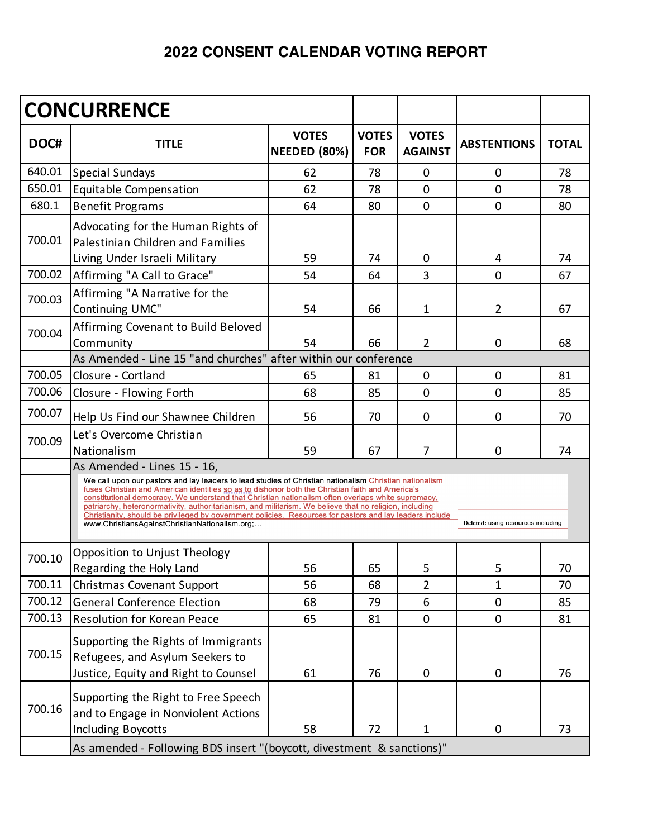## **2022 CONSENT CALENDAR VOTING REPORT**

| <b>TITLE</b>                                                                                                   | <b>VOTES</b>                       | <b>VOTES</b> |                                |                                                                                                                                                                                                                                                                                                                                                                                                                                                                                                                                                                                                                   |              |  |  |  |
|----------------------------------------------------------------------------------------------------------------|------------------------------------|--------------|--------------------------------|-------------------------------------------------------------------------------------------------------------------------------------------------------------------------------------------------------------------------------------------------------------------------------------------------------------------------------------------------------------------------------------------------------------------------------------------------------------------------------------------------------------------------------------------------------------------------------------------------------------------|--------------|--|--|--|
|                                                                                                                | <b>NEEDED (80%)</b>                | <b>FOR</b>   | <b>VOTES</b><br><b>AGAINST</b> | <b>ABSTENTIONS</b>                                                                                                                                                                                                                                                                                                                                                                                                                                                                                                                                                                                                | <b>TOTAL</b> |  |  |  |
| <b>Special Sundays</b>                                                                                         | 62                                 | 78           | 0                              | $\mathbf 0$                                                                                                                                                                                                                                                                                                                                                                                                                                                                                                                                                                                                       | 78           |  |  |  |
| Equitable Compensation                                                                                         | 62                                 | 78           | 0                              | $\mathbf 0$                                                                                                                                                                                                                                                                                                                                                                                                                                                                                                                                                                                                       | 78           |  |  |  |
| <b>Benefit Programs</b>                                                                                        | 64                                 | 80           | $\overline{0}$                 | $\mathbf 0$                                                                                                                                                                                                                                                                                                                                                                                                                                                                                                                                                                                                       | 80           |  |  |  |
| Advocating for the Human Rights of<br>Palestinian Children and Families<br>Living Under Israeli Military       | 59                                 | 74           | 0                              | 4                                                                                                                                                                                                                                                                                                                                                                                                                                                                                                                                                                                                                 | 74           |  |  |  |
| Affirming "A Call to Grace"                                                                                    | 54                                 | 64           | 3                              | $\mathbf 0$                                                                                                                                                                                                                                                                                                                                                                                                                                                                                                                                                                                                       | 67           |  |  |  |
| Affirming "A Narrative for the<br>Continuing UMC"                                                              | 54                                 | 66           | 1                              | 2                                                                                                                                                                                                                                                                                                                                                                                                                                                                                                                                                                                                                 | 67           |  |  |  |
| Affirming Covenant to Build Beloved<br>Community                                                               | 54                                 | 66           | $\overline{2}$                 | 0                                                                                                                                                                                                                                                                                                                                                                                                                                                                                                                                                                                                                 | 68           |  |  |  |
| As Amended - Line 15 "and churches" after within our conference<br>700.05                                      |                                    |              |                                |                                                                                                                                                                                                                                                                                                                                                                                                                                                                                                                                                                                                                   |              |  |  |  |
| Closure - Cortland                                                                                             | 65                                 | 81           | 0                              | $\mathbf 0$                                                                                                                                                                                                                                                                                                                                                                                                                                                                                                                                                                                                       | 81           |  |  |  |
| Closure - Flowing Forth                                                                                        | 68                                 | 85           | 0                              | 0                                                                                                                                                                                                                                                                                                                                                                                                                                                                                                                                                                                                                 | 85           |  |  |  |
| Help Us Find our Shawnee Children                                                                              | 56                                 | 70           | 0                              | 0                                                                                                                                                                                                                                                                                                                                                                                                                                                                                                                                                                                                                 | 70           |  |  |  |
| Let's Overcome Christian<br>Nationalism                                                                        | 59                                 | 67           | 7                              | 0                                                                                                                                                                                                                                                                                                                                                                                                                                                                                                                                                                                                                 | 74           |  |  |  |
| www.ChristiansAgainstChristianNationalism.org;                                                                 | Deleted: using resources including |              |                                |                                                                                                                                                                                                                                                                                                                                                                                                                                                                                                                                                                                                                   |              |  |  |  |
| Opposition to Unjust Theology<br>Regarding the Holy Land                                                       | 56                                 | 65           | 5                              | 5                                                                                                                                                                                                                                                                                                                                                                                                                                                                                                                                                                                                                 | 70           |  |  |  |
| Christmas Covenant Support                                                                                     | 56                                 | 68           | $\overline{2}$                 | 1                                                                                                                                                                                                                                                                                                                                                                                                                                                                                                                                                                                                                 | 70           |  |  |  |
| <b>General Conference Election</b>                                                                             | 68                                 | 79           | 6                              | $\mathbf 0$                                                                                                                                                                                                                                                                                                                                                                                                                                                                                                                                                                                                       | 85           |  |  |  |
| <b>Resolution for Korean Peace</b>                                                                             | 65                                 | 81           | $\pmb{0}$                      | $\mathbf 0$                                                                                                                                                                                                                                                                                                                                                                                                                                                                                                                                                                                                       | 81           |  |  |  |
| Supporting the Rights of Immigrants<br>Refugees, and Asylum Seekers to<br>Justice, Equity and Right to Counsel | 61                                 | 76           | 0                              | $\mathbf 0$                                                                                                                                                                                                                                                                                                                                                                                                                                                                                                                                                                                                       | 76           |  |  |  |
| Supporting the Right to Free Speech<br>and to Engage in Nonviolent Actions<br>Including Boycotts               | 58                                 | 72           | $\mathbf{1}$                   | $\pmb{0}$                                                                                                                                                                                                                                                                                                                                                                                                                                                                                                                                                                                                         | 73           |  |  |  |
|                                                                                                                | As Amended - Lines 15 - 16,        |              |                                | We call upon our pastors and lay leaders to lead studies of Christian nationalism Christian nationalism<br>fuses Christian and American identities so as to dishonor both the Christian faith and America's<br>constitutional democracy. We understand that Christian nationalism often overlaps white supremacy,<br>patriarchy, heteronormativity, authoritarianism, and militarism. We believe that no religion, including<br>Christianity, should be privileged by government policies. Resources for pastors and lay leaders include<br>As amended - Following BDS insert "(boycott, divestment & sanctions)" |              |  |  |  |